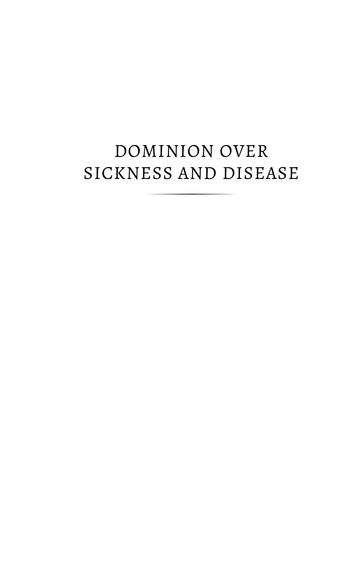# DOMINION OVER SICKNESS AND DISEASE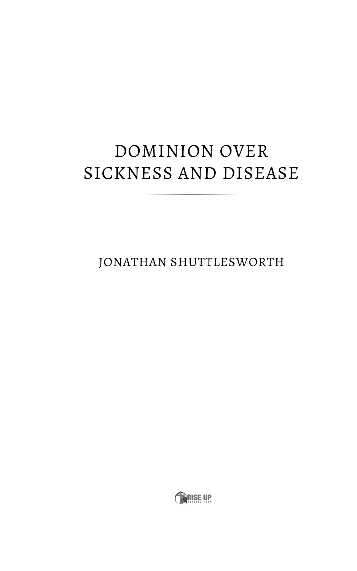# DOMINION OVER SICKNESS AND DISEASE

JONATHAN SHUTTLESWORTH

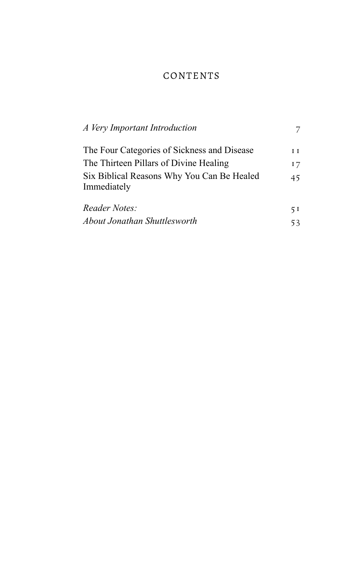# CONTENTS

| A Very Important Introduction                             |     |
|-----------------------------------------------------------|-----|
| The Four Categories of Sickness and Disease               | I I |
| The Thirteen Pillars of Divine Healing                    | I 7 |
| Six Biblical Reasons Why You Can Be Healed<br>Immediately | 45  |
| Reader Notes:                                             | 5 I |
| About Jonathan Shuttlesworth                              | 53  |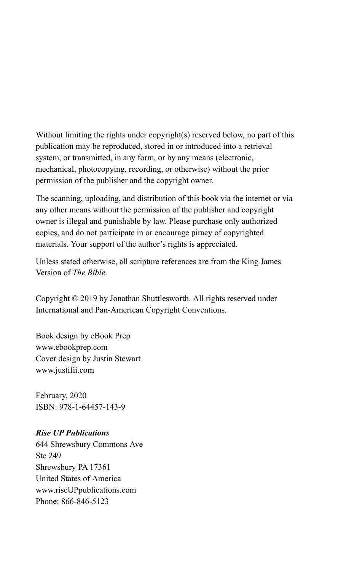Without limiting the rights under copyright(s) reserved below, no part of this publication may be reproduced, stored in or introduced into a retrieval system, or transmitted, in any form, or by any means (electronic, mechanical, photocopying, recording, or otherwise) without the prior permission of the publisher and the copyright owner.

The scanning, uploading, and distribution of this book via the internet or via any other means without the permission of the publisher and copyright owner is illegal and punishable by law. Please purchase only authorized copies, and do not participate in or encourage piracy of copyrighted materials. Your support of the author's rights is appreciated.

Unless stated otherwise, all scripture references are from the King James Version of *The Bible*.

Copyright © 2019 by Jonathan Shuttlesworth. All rights reserved under International and Pan-American Copyright Conventions.

Book design by eBook Prep www.ebookprep.com Cover design by Justin Stewart www.justifii.com

February, 2020 ISBN: 978-1-64457-143-9

#### *Rise UP Publications*

644 Shrewsbury Commons Ave Ste 249 Shrewsbury PA 17361 United States of America www.riseUPpublications.com Phone: 866-846-5123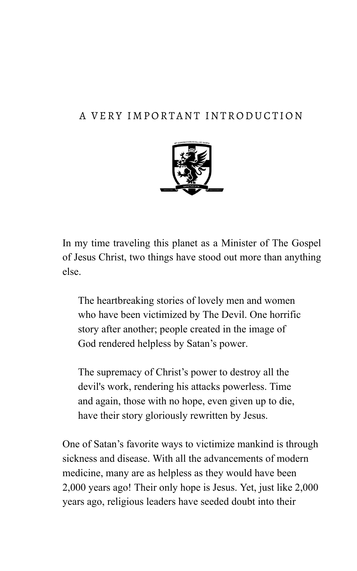# A VERY IMPORTANT INTRODUCTION



In my time traveling this planet as a Minister of The Gospel of Jesus Christ, two things have stood out more than anything else.

The heartbreaking stories of lovely men and women who have been victimized by The Devil. One horrific story after another; people created in the image of God rendered helpless by Satan's power.

The supremacy of Christ's power to destroy all the devil's work, rendering his attacks powerless. Time and again, those with no hope, even given up to die, have their story gloriously rewritten by Jesus.

One of Satan's favorite ways to victimize mankind is through sickness and disease. With all the advancements of modern medicine, many are as helpless as they would have been 2,000 years ago! Their only hope is Jesus. Yet, just like 2,000 years ago, religious leaders have seeded doubt into their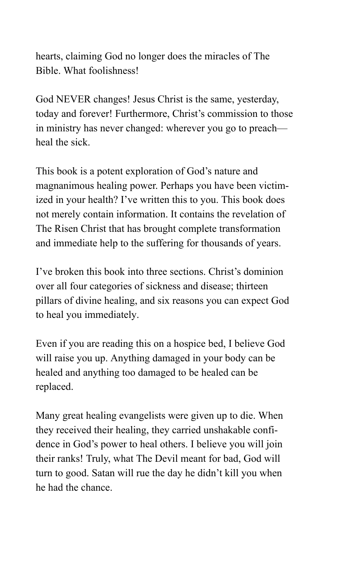hearts, claiming God no longer does the miracles of The Bible. What foolishness!

God NEVER changes! Jesus Christ is the same, yesterday, today and forever! Furthermore, Christ's commission to those in ministry has never changed: wherever you go to preach heal the sick.

This book is a potent exploration of God's nature and magnanimous healing power. Perhaps you have been victimized in your health? I've written this to you. This book does not merely contain information. It contains the revelation of The Risen Christ that has brought complete transformation and immediate help to the suffering for thousands of years.

I've broken this book into three sections. Christ's dominion over all four categories of sickness and disease; thirteen pillars of divine healing, and six reasons you can expect God to heal you immediately.

Even if you are reading this on a hospice bed, I believe God will raise you up. Anything damaged in your body can be healed and anything too damaged to be healed can be replaced.

Many great healing evangelists were given up to die. When they received their healing, they carried unshakable confidence in God's power to heal others. I believe you will join their ranks! Truly, what The Devil meant for bad, God will turn to good. Satan will rue the day he didn't kill you when he had the chance.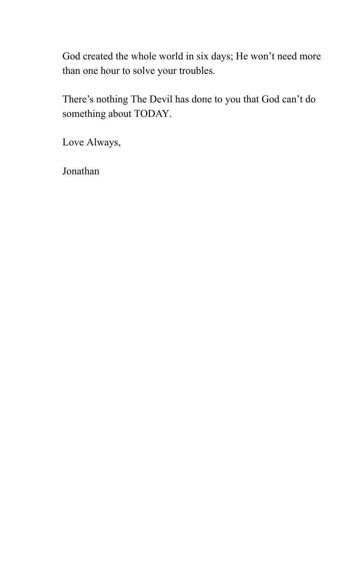God created the whole world in six days; He won't need more than one hour to solve your troubles.

There's nothing The Devil has done to you that God can't do something about TODAY.

Love Always,

Jonathan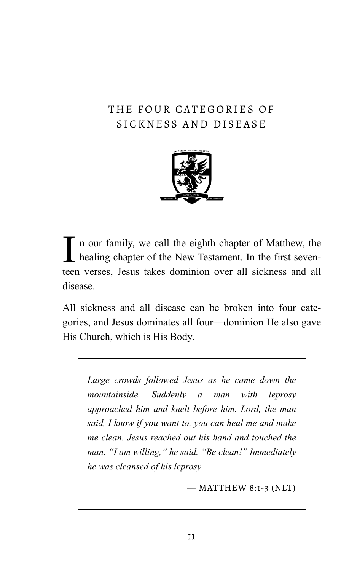# THE FOUR CATEGORIES OF SICKNESS AND DISEASE



In our family, we call the eighth chapter of Matthew, the healing chapter of the New Testament. In the first seventeen verses, Jesus takes dominion over all sickness and all n our family, we call the eighth chapter of Matthew, the healing chapter of the New Testament. In the first sevendisease.

All sickness and all disease can be broken into four categories, and Jesus dominates all four—dominion He also gave His Church, which is His Body.

*Large crowds followed Jesus as he came down the mountainside. Suddenly a man with leprosy approached him and knelt before him. Lord, the man said, I know if you want to, you can heal me and make me clean. Jesus reached out his hand and touched the man. "I am willing," he said. "Be clean!" Immediately he was cleansed of his leprosy.* 

 $-$  MATTHEW 8:1-3 (NLT)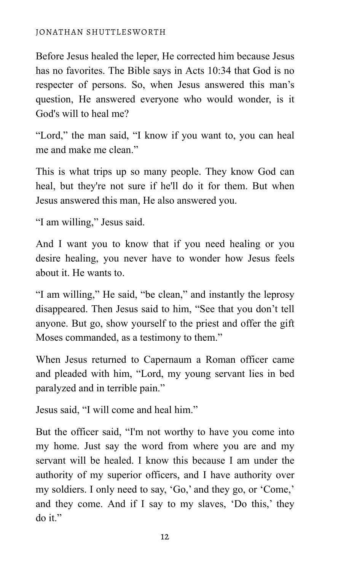Before Jesus healed the leper, He corrected him because Jesus has no favorites. The Bible says in Acts 10:34 that God is no respecter of persons. So, when Jesus answered this man's question, He answered everyone who would wonder, is it God's will to heal me?

"Lord," the man said, "I know if you want to, you can heal me and make me clean."

This is what trips up so many people. They know God can heal, but they're not sure if he'll do it for them. But when Jesus answered this man, He also answered you.

```
"I am willing," Jesus said.
```
And I want you to know that if you need healing or you desire healing, you never have to wonder how Jesus feels about it. He wants to.

"I am willing," He said, "be clean," and instantly the leprosy disappeared. Then Jesus said to him, "See that you don't tell anyone. But go, show yourself to the priest and offer the gift Moses commanded, as a testimony to them."

When Jesus returned to Capernaum a Roman officer came and pleaded with him, "Lord, my young servant lies in bed paralyzed and in terrible pain."

Jesus said, "I will come and heal him."

But the officer said, "I'm not worthy to have you come into my home. Just say the word from where you are and my servant will be healed. I know this because I am under the authority of my superior officers, and I have authority over my soldiers. I only need to say, 'Go,' and they go, or 'Come,' and they come. And if I say to my slaves, 'Do this,' they  $d$ o it."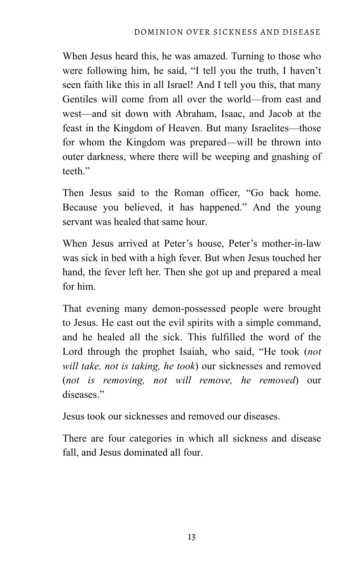When Jesus heard this, he was amazed. Turning to those who were following him, he said, "I tell you the truth, I haven't seen faith like this in all Israel! And I tell you this, that many Gentiles will come from all over the world—from east and west—and sit down with Abraham, Isaac, and Jacob at the feast in the Kingdom of Heaven. But many Israelites—those for whom the Kingdom was prepared—will be thrown into outer darkness, where there will be weeping and gnashing of teeth."

Then Jesus said to the Roman officer, "Go back home. Because you believed, it has happened." And the young servant was healed that same hour.

When Jesus arrived at Peter's house, Peter's mother-in-law was sick in bed with a high fever. But when Jesus touched her hand, the fever left her. Then she got up and prepared a meal for him.

That evening many demon-possessed people were brought to Jesus. He cast out the evil spirits with a simple command, and he healed all the sick. This fulfilled the word of the Lord through the prophet Isaiah, who said, "He took (*not will take, not is taking, he took*) our sicknesses and removed (*not is removing, not will remove, he removed*) our diseases."

Jesus took our sicknesses and removed our diseases.

There are four categories in which all sickness and disease fall, and Jesus dominated all four.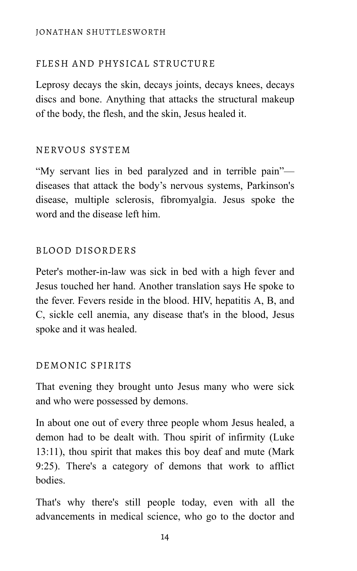# FLESH AND PHYSICAL STRUCTURE

Leprosy decays the skin, decays joints, decays knees, decays discs and bone. Anything that attacks the structural makeup of the body, the flesh, and the skin, Jesus healed it.

## NERVOUS SYSTEM

"My servant lies in bed paralyzed and in terrible pain" diseases that attack the body's nervous systems, Parkinson's disease, multiple sclerosis, fibromyalgia. Jesus spoke the word and the disease left him.

## BLOOD DISORDERS

Peter's mother-in-law was sick in bed with a high fever and Jesus touched her hand. Another translation says He spoke to the fever. Fevers reside in the blood. HIV, hepatitis A, B, and C, sickle cell anemia, any disease that's in the blood, Jesus spoke and it was healed.

## DEMONIC SPIRITS

That evening they brought unto Jesus many who were sick and who were possessed by demons.

In about one out of every three people whom Jesus healed, a demon had to be dealt with. Thou spirit of infirmity (Luke 13:11), thou spirit that makes this boy deaf and mute (Mark 9:25). There's a category of demons that work to afflict bodies.

That's why there's still people today, even with all the advancements in medical science, who go to the doctor and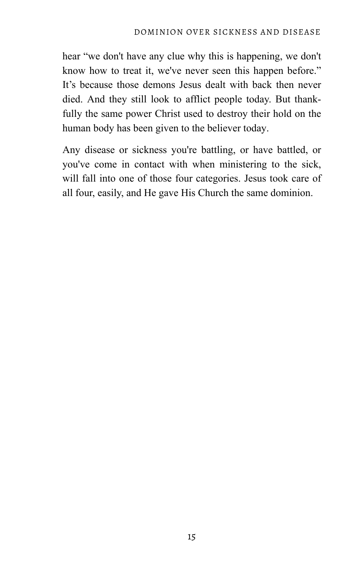hear "we don't have any clue why this is happening, we don't know how to treat it, we've never seen this happen before." It's because those demons Jesus dealt with back then never died. And they still look to afflict people today. But thankfully the same power Christ used to destroy their hold on the human body has been given to the believer today.

Any disease or sickness you're battling, or have battled, or you've come in contact with when ministering to the sick, will fall into one of those four categories. Jesus took care of all four, easily, and He gave His Church the same dominion.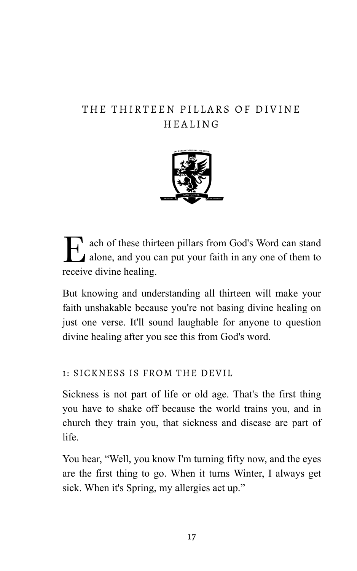# THE THIRTEEN PILLARS OF DIVINE HEALING



**Example 1** alone, and you conceive divine healing. ach of these thirteen pillars from God's Word can stand A alone, and you can put your faith in any one of them to

But knowing and understanding all thirteen will make your faith unshakable because you're not basing divine healing on just one verse. It'll sound laughable for anyone to question divine healing after you see this from God's word.

## 1: SICKNESS IS FROM THE DEVIL

Sickness is not part of life or old age. That's the first thing you have to shake off because the world trains you, and in church they train you, that sickness and disease are part of life.

You hear, "Well, you know I'm turning fifty now, and the eyes are the first thing to go. When it turns Winter, I always get sick. When it's Spring, my allergies act up."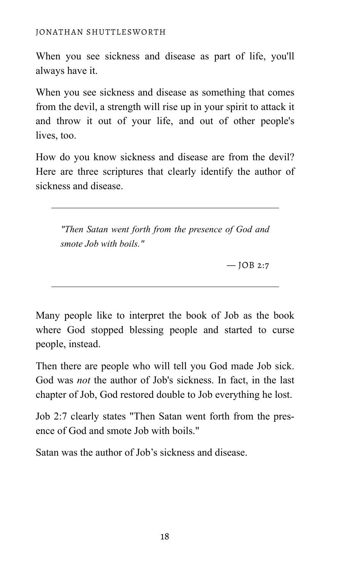When you see sickness and disease as part of life, you'll always have it.

When you see sickness and disease as something that comes from the devil, a strength will rise up in your spirit to attack it and throw it out of your life, and out of other people's lives, too.

How do you know sickness and disease are from the devil? Here are three scriptures that clearly identify the author of sickness and disease.

*"Then Satan went forth from the presence of God and smote Job with boils."*

 $-$  JOB 2:7

Many people like to interpret the book of Job as the book where God stopped blessing people and started to curse people, instead.

Then there are people who will tell you God made Job sick. God was *not* the author of Job's sickness. In fact, in the last chapter of Job, God restored double to Job everything he lost.

Job 2:7 clearly states "Then Satan went forth from the presence of God and smote Job with boils."

Satan was the author of Job's sickness and disease.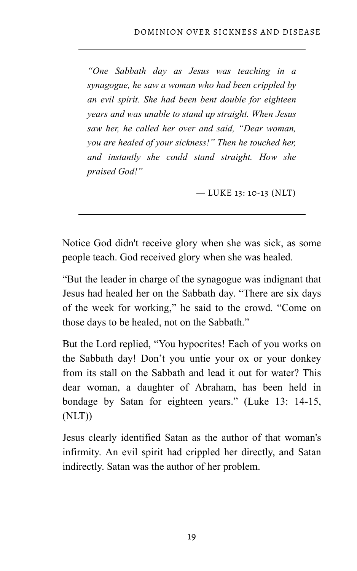*"One Sabbath day as Jesus was teaching in a synagogue, he saw a woman who had been crippled by an evil spirit. She had been bent double for eighteen years and was unable to stand up straight. When Jesus saw her, he called her over and said, "Dear woman, you are healed of your sickness!" Then he touched her, and instantly she could stand straight. How she praised God!"*

— LUKE 13: 10-13 (NLT)

Notice God didn't receive glory when she was sick, as some people teach. God received glory when she was healed.

"But the leader in charge of the synagogue was indignant that Jesus had healed her on the Sabbath day. "There are six days of the week for working," he said to the crowd. "Come on those days to be healed, not on the Sabbath."

But the Lord replied, "You hypocrites! Each of you works on the Sabbath day! Don't you untie your ox or your donkey from its stall on the Sabbath and lead it out for water? This dear woman, a daughter of Abraham, has been held in bondage by Satan for eighteen years." (Luke 13: 14-15, (NLT))

Jesus clearly identified Satan as the author of that woman's infirmity. An evil spirit had crippled her directly, and Satan indirectly. Satan was the author of her problem.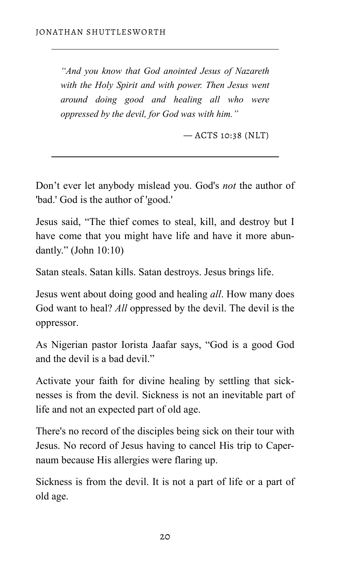*"And you know that God anointed Jesus of Nazareth with the Holy Spirit and with power. Then Jesus went around doing good and healing all who were oppressed by the devil, for God was with him."*

— ACTS 10:38 (NLT)

Don't ever let anybody mislead you. God's *not* the author of 'bad.' God is the author of 'good.'

Jesus said, "The thief comes to steal, kill, and destroy but I have come that you might have life and have it more abundantly." (John 10:10)

Satan steals. Satan kills. Satan destroys. Jesus brings life.

Jesus went about doing good and healing *all*. How many does God want to heal? *All* oppressed by the devil. The devil is the oppressor.

As Nigerian pastor Iorista Jaafar says, "God is a good God and the devil is a bad devil."

Activate your faith for divine healing by settling that sicknesses is from the devil. Sickness is not an inevitable part of life and not an expected part of old age.

There's no record of the disciples being sick on their tour with Jesus. No record of Jesus having to cancel His trip to Capernaum because His allergies were flaring up.

Sickness is from the devil. It is not a part of life or a part of old age.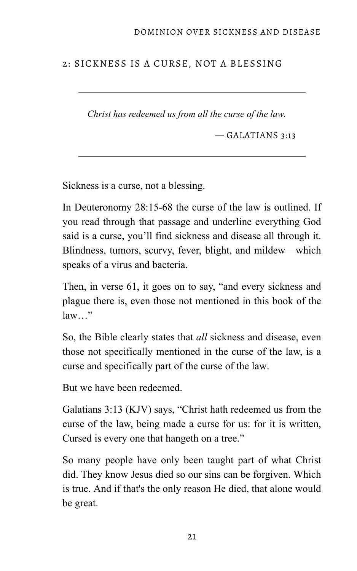## 2: SICKNESS IS A CURSE, NOT A BLESSING

*Christ has redeemed us from all the curse of the law.*

— GALATIANS 3:13

Sickness is a curse, not a blessing.

In Deuteronomy 28:15-68 the curse of the law is outlined. If you read through that passage and underline everything God said is a curse, you'll find sickness and disease all through it. Blindness, tumors, scurvy, fever, blight, and mildew—which speaks of a virus and bacteria.

Then, in verse 61, it goes on to say, "and every sickness and plague there is, even those not mentioned in this book of the law…"

So, the Bible clearly states that *all* sickness and disease, even those not specifically mentioned in the curse of the law, is a curse and specifically part of the curse of the law.

But we have been redeemed.

Galatians 3:13 (KJV) says, "Christ hath redeemed us from the curse of the law, being made a curse for us: for it is written, Cursed is every one that hangeth on a tree."

So many people have only been taught part of what Christ did. They know Jesus died so our sins can be forgiven. Which is true. And if that's the only reason He died, that alone would be great.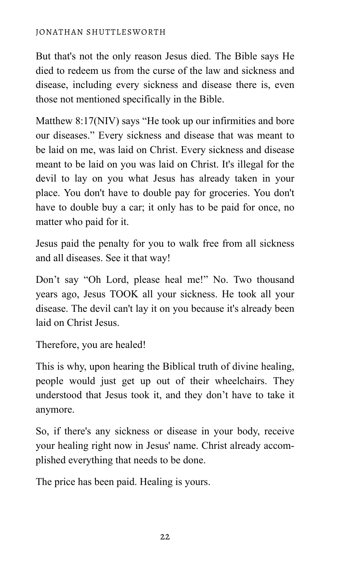But that's not the only reason Jesus died. The Bible says He died to redeem us from the curse of the law and sickness and disease, including every sickness and disease there is, even those not mentioned specifically in the Bible.

Matthew 8:17(NIV) says "He took up our infirmities and bore our diseases." Every sickness and disease that was meant to be laid on me, was laid on Christ. Every sickness and disease meant to be laid on you was laid on Christ. It's illegal for the devil to lay on you what Jesus has already taken in your place. You don't have to double pay for groceries. You don't have to double buy a car; it only has to be paid for once, no matter who paid for it.

Jesus paid the penalty for you to walk free from all sickness and all diseases. See it that way!

Don't say "Oh Lord, please heal me!" No. Two thousand years ago, Jesus TOOK all your sickness. He took all your disease. The devil can't lay it on you because it's already been laid on Christ Jesus.

Therefore, you are healed!

This is why, upon hearing the Biblical truth of divine healing, people would just get up out of their wheelchairs. They understood that Jesus took it, and they don't have to take it anymore.

So, if there's any sickness or disease in your body, receive your healing right now in Jesus' name. Christ already accomplished everything that needs to be done.

The price has been paid. Healing is yours.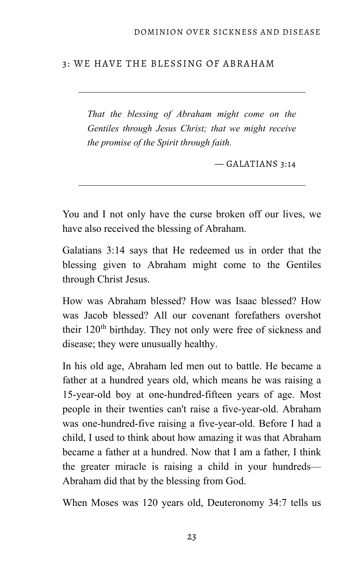#### 3: WE HAVE THE BLESSING OF ABRAHAM

*That the blessing of Abraham might come on the Gentiles through Jesus Christ; that we might receive the promise of the Spirit through faith.*

— GALATIANS 3:14

You and I not only have the curse broken off our lives, we have also received the blessing of Abraham.

Galatians 3:14 says that He redeemed us in order that the blessing given to Abraham might come to the Gentiles through Christ Jesus.

How was Abraham blessed? How was Isaac blessed? How was Jacob blessed? All our covenant forefathers overshot their 120<sup>th</sup> birthday. They not only were free of sickness and disease; they were unusually healthy.

In his old age, Abraham led men out to battle. He became a father at a hundred years old, which means he was raising a 15-year-old boy at one-hundred-fifteen years of age. Most people in their twenties can't raise a five-year-old. Abraham was one-hundred-five raising a five-year-old. Before I had a child, I used to think about how amazing it was that Abraham became a father at a hundred. Now that I am a father, I think the greater miracle is raising a child in your hundreds— Abraham did that by the blessing from God.

When Moses was 120 years old, Deuteronomy 34:7 tells us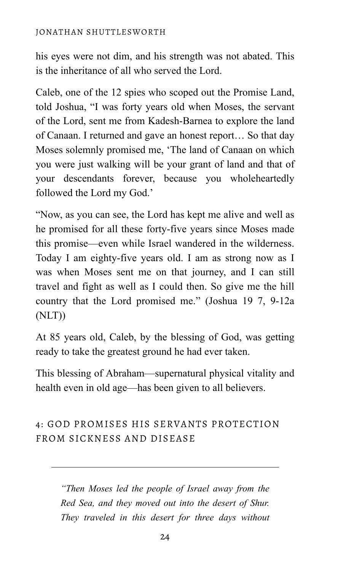his eyes were not dim, and his strength was not abated. This is the inheritance of all who served the Lord.

Caleb, one of the 12 spies who scoped out the Promise Land, told Joshua, "I was forty years old when Moses, the servant of the Lord, sent me from Kadesh-Barnea to explore the land of Canaan. I returned and gave an honest report… So that day Moses solemnly promised me, 'The land of Canaan on which you were just walking will be your grant of land and that of your descendants forever, because you wholeheartedly followed the Lord my God.'

"Now, as you can see, the Lord has kept me alive and well as he promised for all these forty-five years since Moses made this promise—even while Israel wandered in the wilderness. Today I am eighty-five years old. I am as strong now as I was when Moses sent me on that journey, and I can still travel and fight as well as I could then. So give me the hill country that the Lord promised me." (Joshua 19 7, 9-12a (NLT))

At 85 years old, Caleb, by the blessing of God, was getting ready to take the greatest ground he had ever taken.

This blessing of Abraham—supernatural physical vitality and health even in old age—has been given to all believers.

4: GOD PROMISES HIS SERVANTS PROTECTION FROM SICKNESS AND DISEASE

*"Then Moses led the people of Israel away from the Red Sea, and they moved out into the desert of Shur. They traveled in this desert for three days without*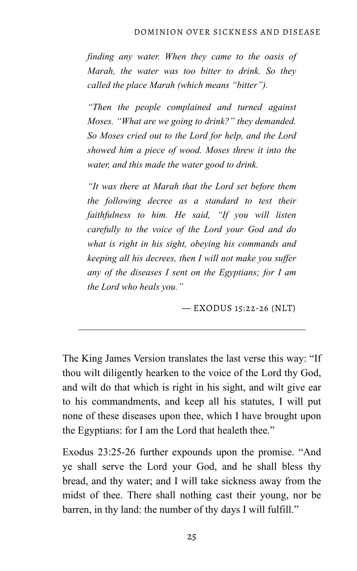*finding any water. When they came to the oasis of Marah, the water was too bitter to drink. So they called the place Marah (which means "bitter").*

*"Then the people complained and turned against Moses. "What are we going to drink?" they demanded. So Moses cried out to the Lord for help, and the Lord showed him a piece of wood. Moses threw it into the water, and this made the water good to drink.*

*"It was there at Marah that the Lord set before them the following decree as a standard to test their faithfulness to him. He said, "If you will listen carefully to the voice of the Lord your God and do what is right in his sight, obeying his commands and keeping all his decrees, then I will not make you suffer any of the diseases I sent on the Egyptians; for I am the Lord who heals you."*

— EXODUS 15:22-26 (NLT)

The King James Version translates the last verse this way: "If thou wilt diligently hearken to the voice of the Lord thy God, and wilt do that which is right in his sight, and wilt give ear to his commandments, and keep all his statutes, I will put none of these diseases upon thee, which I have brought upon the Egyptians: for I am the Lord that healeth thee."

Exodus 23:25-26 further expounds upon the promise. "And ye shall serve the Lord your God, and he shall bless thy bread, and thy water; and I will take sickness away from the midst of thee. There shall nothing cast their young, nor be barren, in thy land: the number of thy days I will fulfill."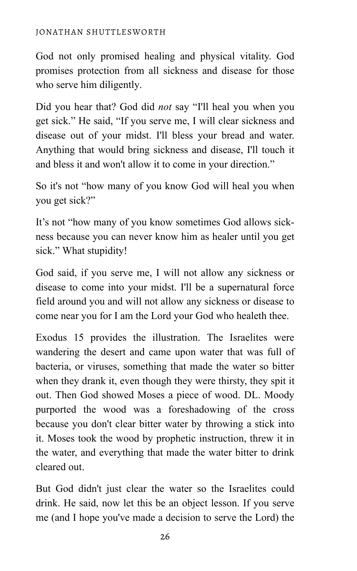#### JONATHAN SHUTTLESWORTH

God not only promised healing and physical vitality. God promises protection from all sickness and disease for those who serve him diligently.

Did you hear that? God did *not* say "I'll heal you when you get sick." He said, "If you serve me, I will clear sickness and disease out of your midst. I'll bless your bread and water. Anything that would bring sickness and disease, I'll touch it and bless it and won't allow it to come in your direction."

So it's not "how many of you know God will heal you when you get sick?"

It's not "how many of you know sometimes God allows sickness because you can never know him as healer until you get sick." What stupidity!

God said, if you serve me, I will not allow any sickness or disease to come into your midst. I'll be a supernatural force field around you and will not allow any sickness or disease to come near you for I am the Lord your God who healeth thee.

Exodus 15 provides the illustration. The Israelites were wandering the desert and came upon water that was full of bacteria, or viruses, something that made the water so bitter when they drank it, even though they were thirsty, they spit it out. Then God showed Moses a piece of wood. DL. Moody purported the wood was a foreshadowing of the cross because you don't clear bitter water by throwing a stick into it. Moses took the wood by prophetic instruction, threw it in the water, and everything that made the water bitter to drink cleared out.

But God didn't just clear the water so the Israelites could drink. He said, now let this be an object lesson. If you serve me (and I hope you've made a decision to serve the Lord) the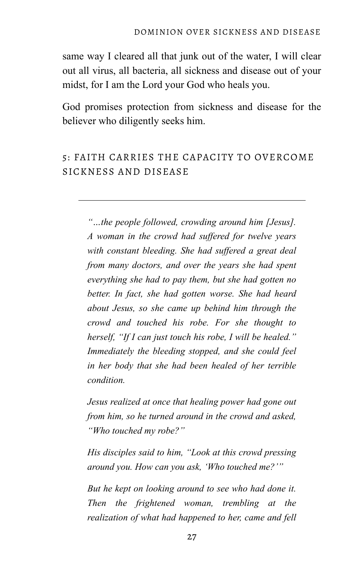same way I cleared all that junk out of the water, I will clear out all virus, all bacteria, all sickness and disease out of your midst, for I am the Lord your God who heals you.

God promises protection from sickness and disease for the believer who diligently seeks him.

# 5: FAITH CARRIES THE CAPACITY TO OVERCOME SICKNESS AND DISEASE

*"…the people followed, crowding around him [Jesus]. A woman in the crowd had suffered for twelve years with constant bleeding. She had suffered a great deal from many doctors, and over the years she had spent everything she had to pay them, but she had gotten no better. In fact, she had gotten worse. She had heard about Jesus, so she came up behind him through the crowd and touched his robe. For she thought to herself, "If I can just touch his robe, I will be healed." Immediately the bleeding stopped, and she could feel in her body that she had been healed of her terrible condition.*

*Jesus realized at once that healing power had gone out from him, so he turned around in the crowd and asked, "Who touched my robe?"*

*His disciples said to him, "Look at this crowd pressing around you. How can you ask, 'Who touched me?'"*

*But he kept on looking around to see who had done it. Then the frightened woman, trembling at the realization of what had happened to her, came and fell*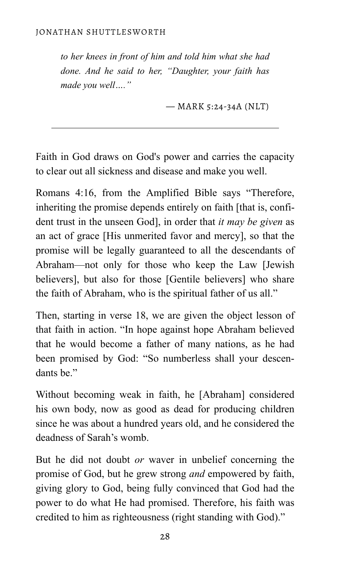*to her knees in front of him and told him what she had done. And he said to her, "Daughter, your faith has made you well…."*

— MARK 5:24-34A (NLT)

Faith in God draws on God's power and carries the capacity to clear out all sickness and disease and make you well.

Romans 4:16, from the Amplified Bible says "Therefore, inheriting the promise depends entirely on faith [that is, confident trust in the unseen God], in order that *it may be given* as an act of grace [His unmerited favor and mercy], so that the promise will be legally guaranteed to all the descendants of Abraham—not only for those who keep the Law [Jewish believers], but also for those [Gentile believers] who share the faith of Abraham, who is the spiritual father of us all."

Then, starting in verse 18, we are given the object lesson of that faith in action. "In hope against hope Abraham believed that he would become a father of many nations, as he had been promised by God: "So numberless shall your descendants be."

Without becoming weak in faith, he [Abraham] considered his own body, now as good as dead for producing children since he was about a hundred years old, and he considered the deadness of Sarah's womb.

But he did not doubt *or* waver in unbelief concerning the promise of God, but he grew strong *and* empowered by faith, giving glory to God, being fully convinced that God had the power to do what He had promised. Therefore, his faith was credited to him as righteousness (right standing with God)."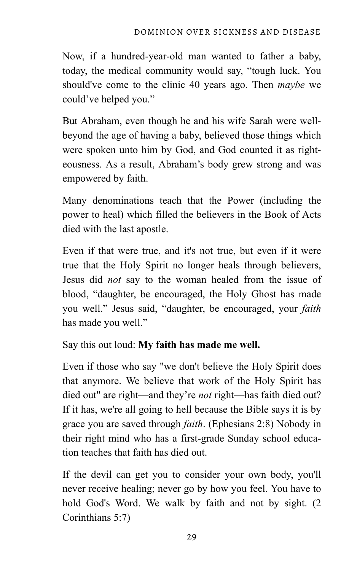Now, if a hundred-year-old man wanted to father a baby, today, the medical community would say, "tough luck. You should've come to the clinic 40 years ago. Then *maybe* we could've helped you."

But Abraham, even though he and his wife Sarah were wellbeyond the age of having a baby, believed those things which were spoken unto him by God, and God counted it as righteousness. As a result, Abraham's body grew strong and was empowered by faith.

Many denominations teach that the Power (including the power to heal) which filled the believers in the Book of Acts died with the last apostle.

Even if that were true, and it's not true, but even if it were true that the Holy Spirit no longer heals through believers, Jesus did *not* say to the woman healed from the issue of blood, "daughter, be encouraged, the Holy Ghost has made you well." Jesus said, "daughter, be encouraged, your *faith* has made you well."

# Say this out loud: **My faith has made me well.**

Even if those who say "we don't believe the Holy Spirit does that anymore. We believe that work of the Holy Spirit has died out" are right—and they're *not* right—has faith died out? If it has, we're all going to hell because the Bible says it is by grace you are saved through *faith*. (Ephesians 2:8) Nobody in their right mind who has a first-grade Sunday school education teaches that faith has died out.

If the devil can get you to consider your own body, you'll never receive healing; never go by how you feel. You have to hold God's Word. We walk by faith and not by sight. (2 Corinthians 5:7)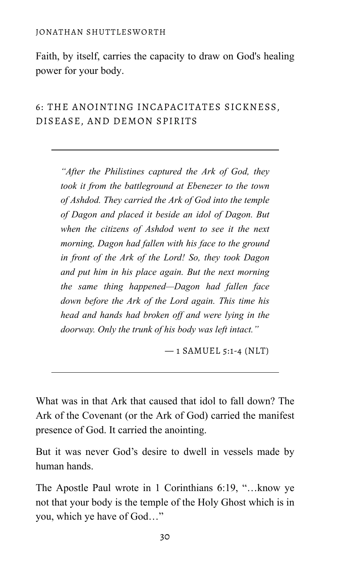#### JONATHAN SHUTTLESWORTH

Faith, by itself, carries the capacity to draw on God's healing power for your body.

# 6: THE ANOINTING INCAPACITATES SICKNESS, DISEASE, AND DEMON SPIRITS

*"After the Philistines captured the Ark of God, they took it from the battleground at Ebenezer to the town of Ashdod. They carried the Ark of God into the temple of Dagon and placed it beside an idol of Dagon. But when the citizens of Ashdod went to see it the next morning, Dagon had fallen with his face to the ground in front of the Ark of the Lord! So, they took Dagon and put him in his place again. But the next morning the same thing happened—Dagon had fallen face down before the Ark of the Lord again. This time his head and hands had broken off and were lying in the doorway. Only the trunk of his body was left intact."*

 $-1$  SAMUEL 5:1-4 (NLT)

What was in that Ark that caused that idol to fall down? The Ark of the Covenant (or the Ark of God) carried the manifest presence of God. It carried the anointing.

But it was never God's desire to dwell in vessels made by human hands.

The Apostle Paul wrote in 1 Corinthians 6:19, "…know ye not that your body is the temple of the Holy Ghost which is in you, which ye have of God…"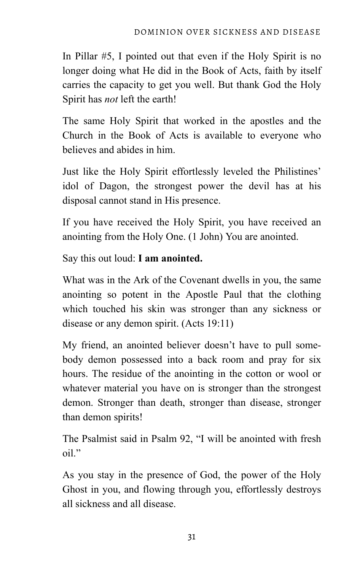In Pillar #5, I pointed out that even if the Holy Spirit is no longer doing what He did in the Book of Acts, faith by itself carries the capacity to get you well. But thank God the Holy Spirit has *not* left the earth!

The same Holy Spirit that worked in the apostles and the Church in the Book of Acts is available to everyone who believes and abides in him.

Just like the Holy Spirit effortlessly leveled the Philistines' idol of Dagon, the strongest power the devil has at his disposal cannot stand in His presence.

If you have received the Holy Spirit, you have received an anointing from the Holy One. (1 John) You are anointed.

Say this out loud: **I am anointed.**

What was in the Ark of the Covenant dwells in you, the same anointing so potent in the Apostle Paul that the clothing which touched his skin was stronger than any sickness or disease or any demon spirit. (Acts 19:11)

My friend, an anointed believer doesn't have to pull somebody demon possessed into a back room and pray for six hours. The residue of the anointing in the cotton or wool or whatever material you have on is stronger than the strongest demon. Stronger than death, stronger than disease, stronger than demon spirits!

The Psalmist said in Psalm 92, "I will be anointed with fresh oil<sup>"</sup>

As you stay in the presence of God, the power of the Holy Ghost in you, and flowing through you, effortlessly destroys all sickness and all disease.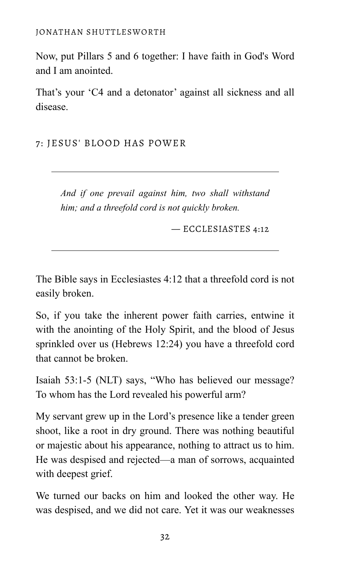Now, put Pillars 5 and 6 together: I have faith in God's Word and I am anointed.

That's your 'C4 and a detonator' against all sickness and all disease.

7: JESUS' BLOOD HAS POWER

*And if one prevail against him, two shall withstand him; and a threefold cord is not quickly broken.*

— ECCLESIASTES 4:12

The Bible says in Ecclesiastes 4:12 that a threefold cord is not easily broken.

So, if you take the inherent power faith carries, entwine it with the anointing of the Holy Spirit, and the blood of Jesus sprinkled over us (Hebrews 12:24) you have a threefold cord that cannot be broken.

Isaiah 53:1-5 (NLT) says, "Who has believed our message? To whom has the Lord revealed his powerful arm?

My servant grew up in the Lord's presence like a tender green shoot, like a root in dry ground. There was nothing beautiful or majestic about his appearance, nothing to attract us to him. He was despised and rejected—a man of sorrows, acquainted with deepest grief.

We turned our backs on him and looked the other way. He was despised, and we did not care. Yet it was our weaknesses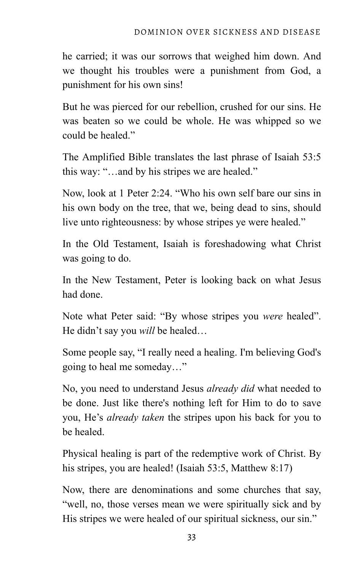he carried; it was our sorrows that weighed him down. And we thought his troubles were a punishment from God, a punishment for his own sins!

But he was pierced for our rebellion, crushed for our sins. He was beaten so we could be whole. He was whipped so we could be healed."

The Amplified Bible translates the last phrase of Isaiah 53:5 this way: "…and by his stripes we are healed."

Now, look at 1 Peter 2:24. "Who his own self bare our sins in his own body on the tree, that we, being dead to sins, should live unto righteousness: by whose stripes ye were healed."

In the Old Testament, Isaiah is foreshadowing what Christ was going to do.

In the New Testament, Peter is looking back on what Jesus had done.

Note what Peter said: "By whose stripes you *were* healed". He didn't say you *will* be healed…

Some people say, "I really need a healing. I'm believing God's going to heal me someday…"

No, you need to understand Jesus *already did* what needed to be done. Just like there's nothing left for Him to do to save you, He's *already taken* the stripes upon his back for you to be healed.

Physical healing is part of the redemptive work of Christ. By his stripes, you are healed! (Isaiah 53:5, Matthew 8:17)

Now, there are denominations and some churches that say, "well, no, those verses mean we were spiritually sick and by His stripes we were healed of our spiritual sickness, our sin."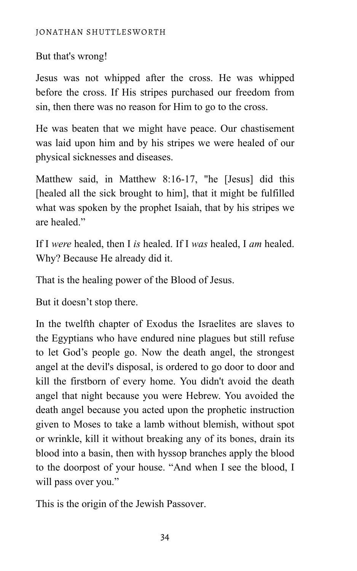But that's wrong!

Jesus was not whipped after the cross. He was whipped before the cross. If His stripes purchased our freedom from sin, then there was no reason for Him to go to the cross.

He was beaten that we might have peace. Our chastisement was laid upon him and by his stripes we were healed of our physical sicknesses and diseases.

Matthew said, in Matthew 8:16-17, "he [Jesus] did this [healed all the sick brought to him], that it might be fulfilled what was spoken by the prophet Isaiah, that by his stripes we are healed."

If I *were* healed, then I *is* healed. If I *was* healed, I *am* healed. Why? Because He already did it.

That is the healing power of the Blood of Jesus.

But it doesn't stop there.

In the twelfth chapter of Exodus the Israelites are slaves to the Egyptians who have endured nine plagues but still refuse to let God's people go. Now the death angel, the strongest angel at the devil's disposal, is ordered to go door to door and kill the firstborn of every home. You didn't avoid the death angel that night because you were Hebrew. You avoided the death angel because you acted upon the prophetic instruction given to Moses to take a lamb without blemish, without spot or wrinkle, kill it without breaking any of its bones, drain its blood into a basin, then with hyssop branches apply the blood to the doorpost of your house. "And when I see the blood, I will pass over you."

This is the origin of the Jewish Passover.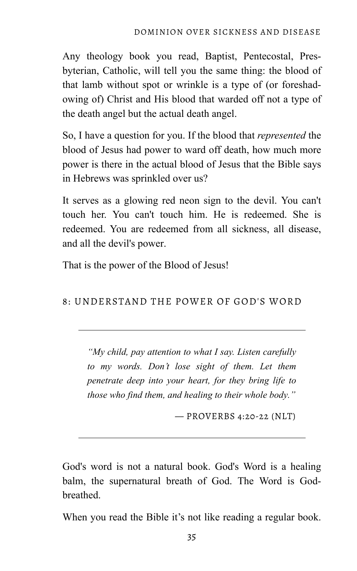Any theology book you read, Baptist, Pentecostal, Presbyterian, Catholic, will tell you the same thing: the blood of that lamb without spot or wrinkle is a type of (or foreshadowing of) Christ and His blood that warded off not a type of the death angel but the actual death angel.

So, I have a question for you. If the blood that *represented* the blood of Jesus had power to ward off death, how much more power is there in the actual blood of Jesus that the Bible says in Hebrews was sprinkled over us?

It serves as a glowing red neon sign to the devil. You can't touch her. You can't touch him. He is redeemed. She is redeemed. You are redeemed from all sickness, all disease, and all the devil's power.

That is the power of the Blood of Jesus!

# 8: UNDERSTAND THE POWER OF GOD'S WORD

*"My child, pay attention to what I say. Listen carefully to my words. Don't lose sight of them. Let them penetrate deep into your heart, for they bring life to those who find them, and healing to their whole body."*

— PROVERBS 4:20-22 (NLT)

God's word is not a natural book. God's Word is a healing balm, the supernatural breath of God. The Word is Godbreathed.

When you read the Bible it's not like reading a regular book.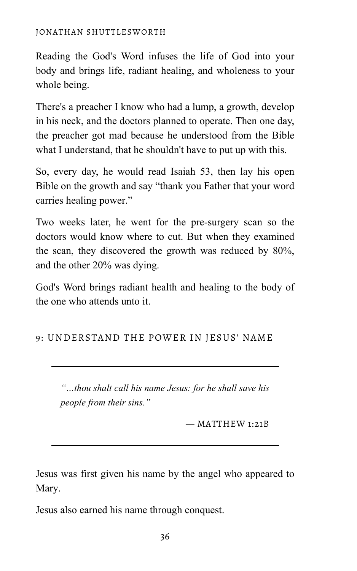Reading the God's Word infuses the life of God into your body and brings life, radiant healing, and wholeness to your whole being.

There's a preacher I know who had a lump, a growth, develop in his neck, and the doctors planned to operate. Then one day, the preacher got mad because he understood from the Bible what I understand, that he shouldn't have to put up with this.

So, every day, he would read Isaiah 53, then lay his open Bible on the growth and say "thank you Father that your word carries healing power."

Two weeks later, he went for the pre-surgery scan so the doctors would know where to cut. But when they examined the scan, they discovered the growth was reduced by 80%, and the other 20% was dying.

God's Word brings radiant health and healing to the body of the one who attends unto it.

#### 9: UNDERSTAND THE POWER IN JESUS' NAME

*"…thou shalt call his name Jesus: for he shall save his people from their sins."*

— MATTHEW 1:21B

Jesus was first given his name by the angel who appeared to Mary.

Jesus also earned his name through conquest.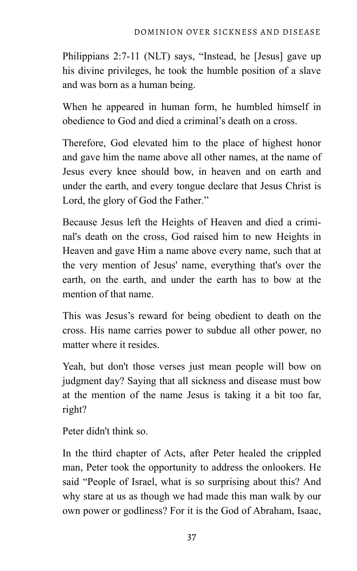Philippians 2:7-11 (NLT) says, "Instead, he [Jesus] gave up his divine privileges, he took the humble position of a slave and was born as a human being.

When he appeared in human form, he humbled himself in obedience to God and died a criminal's death on a cross.

Therefore, God elevated him to the place of highest honor and gave him the name above all other names, at the name of Jesus every knee should bow, in heaven and on earth and under the earth, and every tongue declare that Jesus Christ is Lord, the glory of God the Father."

Because Jesus left the Heights of Heaven and died a criminal's death on the cross, God raised him to new Heights in Heaven and gave Him a name above every name, such that at the very mention of Jesus' name, everything that's over the earth, on the earth, and under the earth has to bow at the mention of that name.

This was Jesus's reward for being obedient to death on the cross. His name carries power to subdue all other power, no matter where it resides.

Yeah, but don't those verses just mean people will bow on judgment day? Saying that all sickness and disease must bow at the mention of the name Jesus is taking it a bit too far, right?

Peter didn't think so.

In the third chapter of Acts, after Peter healed the crippled man, Peter took the opportunity to address the onlookers. He said "People of Israel, what is so surprising about this? And why stare at us as though we had made this man walk by our own power or godliness? For it is the God of Abraham, Isaac,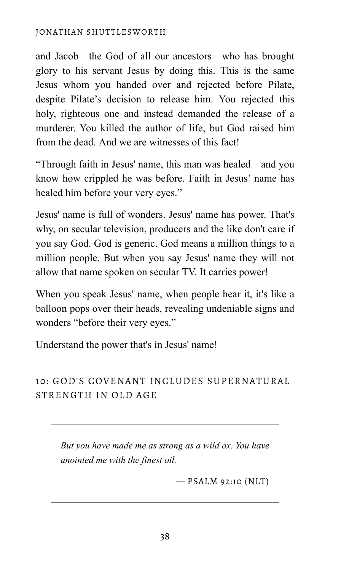and Jacob—the God of all our ancestors—who has brought glory to his servant Jesus by doing this. This is the same Jesus whom you handed over and rejected before Pilate, despite Pilate's decision to release him. You rejected this holy, righteous one and instead demanded the release of a murderer. You killed the author of life, but God raised him from the dead. And we are witnesses of this fact!

"Through faith in Jesus' name, this man was healed—and you know how crippled he was before. Faith in Jesus' name has healed him before your very eyes."

Jesus' name is full of wonders. Jesus' name has power. That's why, on secular television, producers and the like don't care if you say God. God is generic. God means a million things to a million people. But when you say Jesus' name they will not allow that name spoken on secular TV. It carries power!

When you speak Jesus' name, when people hear it, it's like a balloon pops over their heads, revealing undeniable signs and wonders "before their very eyes."

Understand the power that's in Jesus' name!

# 10: GOD'S COVENANT INCLUDES SUPERNATURAL STRENGTH IN OLD AGE

*But you have made me as strong as a wild ox. You have anointed me with the finest oil.*

— PSALM 92:10 (NLT)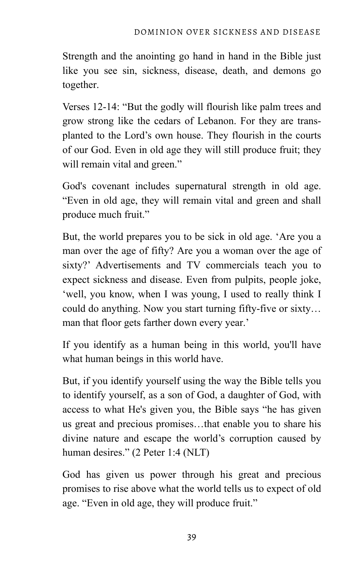Strength and the anointing go hand in hand in the Bible just like you see sin, sickness, disease, death, and demons go together.

Verses 12-14: "But the godly will flourish like palm trees and grow strong like the cedars of Lebanon. For they are transplanted to the Lord's own house. They flourish in the courts of our God. Even in old age they will still produce fruit; they will remain vital and green."

God's covenant includes supernatural strength in old age. "Even in old age, they will remain vital and green and shall produce much fruit."

But, the world prepares you to be sick in old age. 'Are you a man over the age of fifty? Are you a woman over the age of sixty?' Advertisements and TV commercials teach you to expect sickness and disease. Even from pulpits, people joke, 'well, you know, when I was young, I used to really think I could do anything. Now you start turning fifty-five or sixty… man that floor gets farther down every year.'

If you identify as a human being in this world, you'll have what human beings in this world have.

But, if you identify yourself using the way the Bible tells you to identify yourself, as a son of God, a daughter of God, with access to what He's given you, the Bible says "he has given us great and precious promises…that enable you to share his divine nature and escape the world's corruption caused by human desires." (2 Peter 1:4 (NLT)

God has given us power through his great and precious promises to rise above what the world tells us to expect of old age. "Even in old age, they will produce fruit."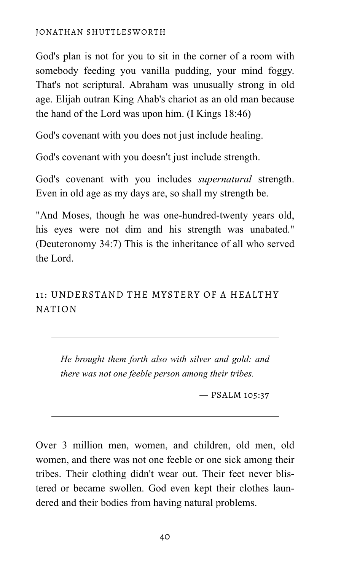God's plan is not for you to sit in the corner of a room with somebody feeding you vanilla pudding, your mind foggy. That's not scriptural. Abraham was unusually strong in old age. Elijah outran King Ahab's chariot as an old man because the hand of the Lord was upon him. (I Kings 18:46)

God's covenant with you does not just include healing.

God's covenant with you doesn't just include strength.

God's covenant with you includes *supernatural* strength. Even in old age as my days are, so shall my strength be.

"And Moses, though he was one-hundred-twenty years old, his eyes were not dim and his strength was unabated." (Deuteronomy 34:7) This is the inheritance of all who served the Lord.

# 11: UNDERSTAND THE MYSTERY OF A HEALTHY NATION

*He brought them forth also with silver and gold: and there was not one feeble person among their tribes.*

— PSALM 105:37

Over 3 million men, women, and children, old men, old women, and there was not one feeble or one sick among their tribes. Their clothing didn't wear out. Their feet never blistered or became swollen. God even kept their clothes laundered and their bodies from having natural problems.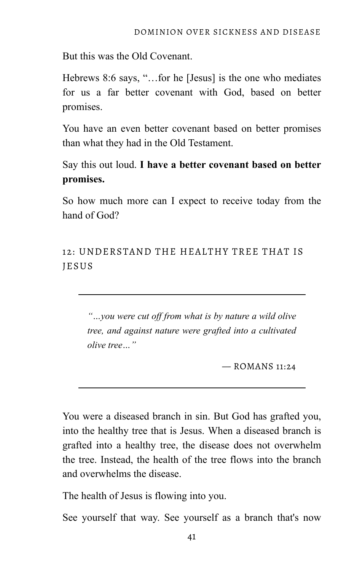But this was the Old Covenant.

Hebrews 8:6 says, "…for he [Jesus] is the one who mediates for us a far better covenant with God, based on better promises.

You have an even better covenant based on better promises than what they had in the Old Testament.

Say this out loud. **I have a better covenant based on better promises.**

So how much more can I expect to receive today from the hand of God?

# 12: UNDERSTAND THE HEALTHY TREE THAT IS JESUS

*"…you were cut off from what is by nature a wild olive tree, and against nature were grafted into a cultivated olive tree…"*

— ROMANS 11:24

You were a diseased branch in sin. But God has grafted you, into the healthy tree that is Jesus. When a diseased branch is grafted into a healthy tree, the disease does not overwhelm the tree. Instead, the health of the tree flows into the branch and overwhelms the disease.

The health of Jesus is flowing into you.

See yourself that way. See yourself as a branch that's now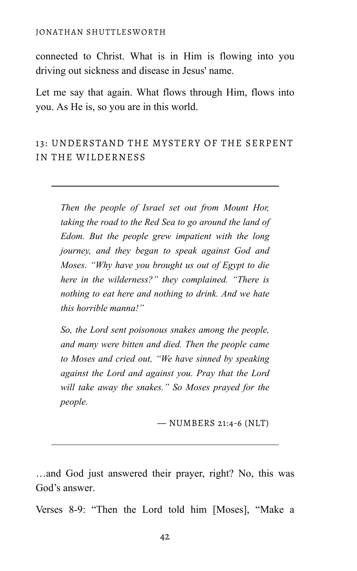#### JONATHAN SHUTTLESWORTH

connected to Christ. What is in Him is flowing into you driving out sickness and disease in Jesus' name.

Let me say that again. What flows through Him, flows into you. As He is, so you are in this world.

13: UNDERSTAND THE MYSTERY OF THE SERPENT IN THE WILDERNESS

*Then the people of Israel set out from Mount Hor, taking the road to the Red Sea to go around the land of Edom. But the people grew impatient with the long journey, and they began to speak against God and Moses. "Why have you brought us out of Egypt to die here in the wilderness?" they complained. "There is nothing to eat here and nothing to drink. And we hate this horrible manna!"*

*So, the Lord sent poisonous snakes among the people, and many were bitten and died. Then the people came to Moses and cried out, "We have sinned by speaking against the Lord and against you. Pray that the Lord will take away the snakes." So Moses prayed for the people.*

— NUMBERS 21:4-6 (NLT)

…and God just answered their prayer, right? No, this was God's answer.

Verses 8-9: "Then the Lord told him [Moses], "Make a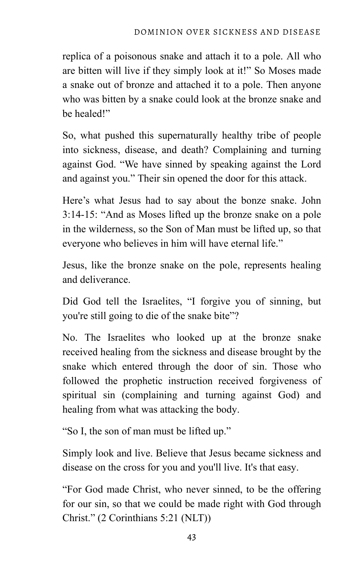replica of a poisonous snake and attach it to a pole. All who are bitten will live if they simply look at it!" So Moses made a snake out of bronze and attached it to a pole. Then anyone who was bitten by a snake could look at the bronze snake and be healed!"

So, what pushed this supernaturally healthy tribe of people into sickness, disease, and death? Complaining and turning against God. "We have sinned by speaking against the Lord and against you." Their sin opened the door for this attack.

Here's what Jesus had to say about the bonze snake. John 3:14-15: "And as Moses lifted up the bronze snake on a pole in the wilderness, so the Son of Man must be lifted up, so that everyone who believes in him will have eternal life."

Jesus, like the bronze snake on the pole, represents healing and deliverance.

Did God tell the Israelites, "I forgive you of sinning, but you're still going to die of the snake bite"?

No. The Israelites who looked up at the bronze snake received healing from the sickness and disease brought by the snake which entered through the door of sin. Those who followed the prophetic instruction received forgiveness of spiritual sin (complaining and turning against God) and healing from what was attacking the body.

"So I, the son of man must be lifted up."

Simply look and live. Believe that Jesus became sickness and disease on the cross for you and you'll live. It's that easy.

"For God made Christ, who never sinned, to be the offering for our sin, so that we could be made right with God through Christ." (2 Corinthians 5:21 (NLT))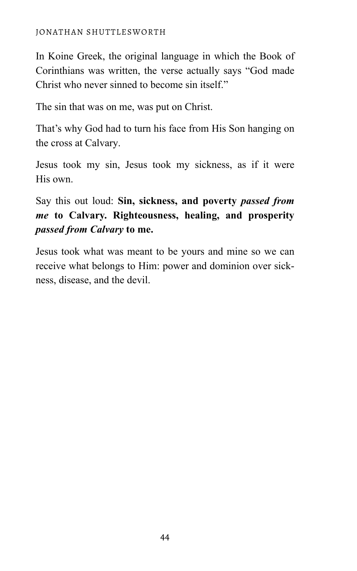In Koine Greek, the original language in which the Book of Corinthians was written, the verse actually says "God made Christ who never sinned to become sin itself."

The sin that was on me, was put on Christ.

That's why God had to turn his face from His Son hanging on the cross at Calvary.

Jesus took my sin, Jesus took my sickness, as if it were His own.

Say this out loud: **Sin, sickness, and poverty** *passed from me* **to Calvary. Righteousness, healing, and prosperity** *passed from Calvary* **to me.**

Jesus took what was meant to be yours and mine so we can receive what belongs to Him: power and dominion over sickness, disease, and the devil.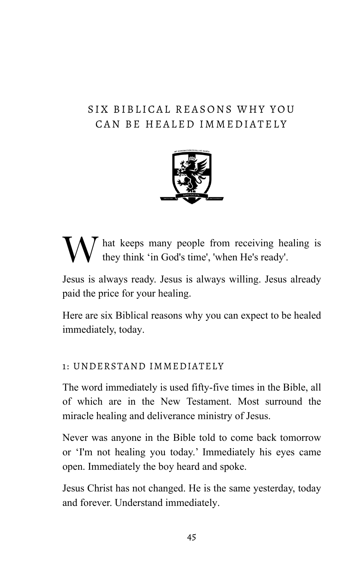# SIX BIBLICAL REASONS WHY YOU CAN BE HEALED IMMEDIATELY



W hat keeps many people from receiving healing is they think 'in God's time', 'when He's ready'.

Jesus is always ready. Jesus is always willing. Jesus already paid the price for your healing.

Here are six Biblical reasons why you can expect to be healed immediately, today.

#### 1: UNDERSTAND IMMEDIATELY

The word immediately is used fifty-five times in the Bible, all of which are in the New Testament. Most surround the miracle healing and deliverance ministry of Jesus.

Never was anyone in the Bible told to come back tomorrow or 'I'm not healing you today.' Immediately his eyes came open. Immediately the boy heard and spoke.

Jesus Christ has not changed. He is the same yesterday, today and forever. Understand immediately.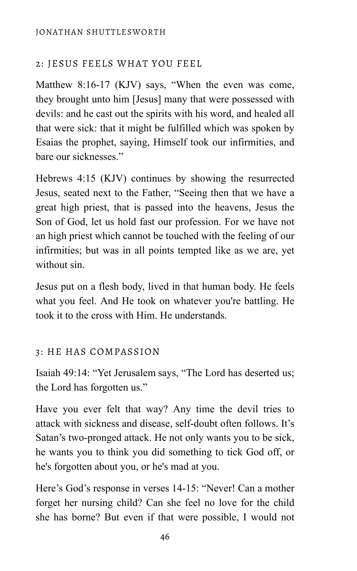# 2: JESUS FEELS WHAT YOU FEEL

Matthew 8:16-17 (KJV) says, "When the even was come, they brought unto him [Jesus] many that were possessed with devils: and he cast out the spirits with his word, and healed all that were sick: that it might be fulfilled which was spoken by Esaias the prophet, saying, Himself took our infirmities, and bare our sicknesses."

Hebrews 4:15 (KJV) continues by showing the resurrected Jesus, seated next to the Father, "Seeing then that we have a great high priest, that is passed into the heavens, Jesus the Son of God, let us hold fast our profession. For we have not an high priest which cannot be touched with the feeling of our infirmities; but was in all points tempted like as we are, yet without sin.

Jesus put on a flesh body, lived in that human body. He feels what you feel. And He took on whatever you're battling. He took it to the cross with Him. He understands.

## 3: HE HAS COMPASSION

Isaiah 49:14: "Yet Jerusalem says, "The Lord has deserted us; the Lord has forgotten us."

Have you ever felt that way? Any time the devil tries to attack with sickness and disease, self-doubt often follows. It's Satan's two-pronged attack. He not only wants you to be sick, he wants you to think you did something to tick God off, or he's forgotten about you, or he's mad at you.

Here's God's response in verses 14-15: "Never! Can a mother forget her nursing child? Can she feel no love for the child she has borne? But even if that were possible, I would not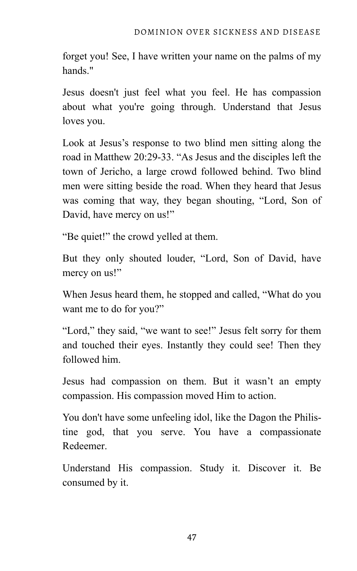forget you! See, I have written your name on the palms of my hands<sup>"</sup>

Jesus doesn't just feel what you feel. He has compassion about what you're going through. Understand that Jesus loves you.

Look at Jesus's response to two blind men sitting along the road in Matthew 20:29-33. "As Jesus and the disciples left the town of Jericho, a large crowd followed behind. Two blind men were sitting beside the road. When they heard that Jesus was coming that way, they began shouting, "Lord, Son of David, have mercy on us!"

"Be quiet!" the crowd yelled at them.

But they only shouted louder, "Lord, Son of David, have mercy on us!"

When Jesus heard them, he stopped and called, "What do you want me to do for you?"

"Lord," they said, "we want to see!" Jesus felt sorry for them and touched their eyes. Instantly they could see! Then they followed him.

Jesus had compassion on them. But it wasn't an empty compassion. His compassion moved Him to action.

You don't have some unfeeling idol, like the Dagon the Philistine god, that you serve. You have a compassionate Redeemer.

Understand His compassion. Study it. Discover it. Be consumed by it.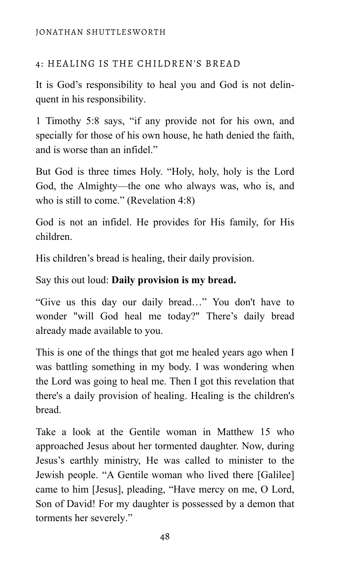## 4: HEALING IS THE CHILDREN'S BREAD

It is God's responsibility to heal you and God is not delinquent in his responsibility.

1 Timothy 5:8 says, "if any provide not for his own, and specially for those of his own house, he hath denied the faith, and is worse than an infidel."

But God is three times Holy. "Holy, holy, holy is the Lord God, the Almighty—the one who always was, who is, and who is still to come." (Revelation 4:8)

God is not an infidel. He provides for His family, for His children.

His children's bread is healing, their daily provision.

Say this out loud: **Daily provision is my bread.**

"Give us this day our daily bread…" You don't have to wonder "will God heal me today?" There's daily bread already made available to you.

This is one of the things that got me healed years ago when I was battling something in my body. I was wondering when the Lord was going to heal me. Then I got this revelation that there's a daily provision of healing. Healing is the children's bread.

Take a look at the Gentile woman in Matthew 15 who approached Jesus about her tormented daughter. Now, during Jesus's earthly ministry, He was called to minister to the Jewish people. "A Gentile woman who lived there [Galilee] came to him [Jesus], pleading, "Have mercy on me, O Lord, Son of David! For my daughter is possessed by a demon that torments her severely."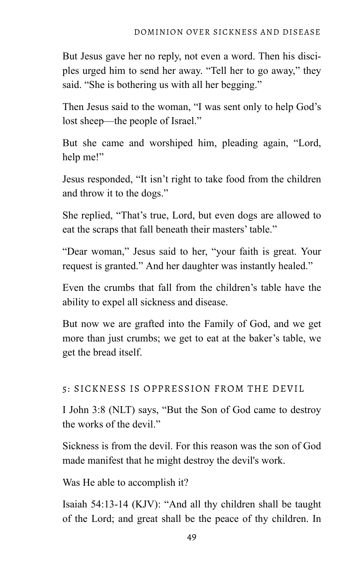But Jesus gave her no reply, not even a word. Then his disciples urged him to send her away. "Tell her to go away," they said. "She is bothering us with all her begging."

Then Jesus said to the woman, "I was sent only to help God's lost sheep—the people of Israel."

But she came and worshiped him, pleading again, "Lord, help me!"

Jesus responded, "It isn't right to take food from the children and throw it to the dogs."

She replied, "That's true, Lord, but even dogs are allowed to eat the scraps that fall beneath their masters' table."

"Dear woman," Jesus said to her, "your faith is great. Your request is granted." And her daughter was instantly healed."

Even the crumbs that fall from the children's table have the ability to expel all sickness and disease.

But now we are grafted into the Family of God, and we get more than just crumbs; we get to eat at the baker's table, we get the bread itself.

# 5: SICKNESS IS OPPRESSION FROM THE DEVIL

I John 3:8 (NLT) says, "But the Son of God came to destroy the works of the devil."

Sickness is from the devil. For this reason was the son of God made manifest that he might destroy the devil's work.

Was He able to accomplish it?

Isaiah 54:13-14 (KJV): "And all thy children shall be taught of the Lord; and great shall be the peace of thy children. In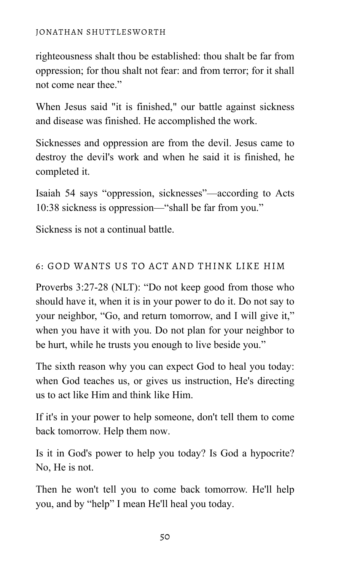righteousness shalt thou be established: thou shalt be far from oppression; for thou shalt not fear: and from terror; for it shall not come near thee."

When Jesus said "it is finished," our battle against sickness and disease was finished. He accomplished the work.

Sicknesses and oppression are from the devil. Jesus came to destroy the devil's work and when he said it is finished, he completed it.

Isaiah 54 says "oppression, sicknesses"—according to Acts 10:38 sickness is oppression—"shall be far from you."

Sickness is not a continual battle.

## 6: GOD WANTS US TO ACT AND THINK LIKE HIM

Proverbs 3:27-28 (NLT): "Do not keep good from those who should have it, when it is in your power to do it. Do not say to your neighbor, "Go, and return tomorrow, and I will give it," when you have it with you. Do not plan for your neighbor to be hurt, while he trusts you enough to live beside you."

The sixth reason why you can expect God to heal you today: when God teaches us, or gives us instruction, He's directing us to act like Him and think like Him.

If it's in your power to help someone, don't tell them to come back tomorrow. Help them now.

Is it in God's power to help you today? Is God a hypocrite? No, He is not.

Then he won't tell you to come back tomorrow. He'll help you, and by "help" I mean He'll heal you today.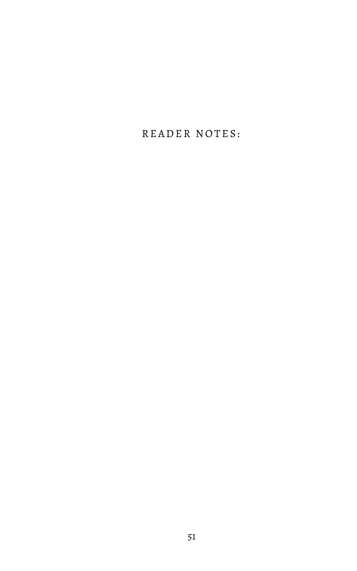# READER NOTES: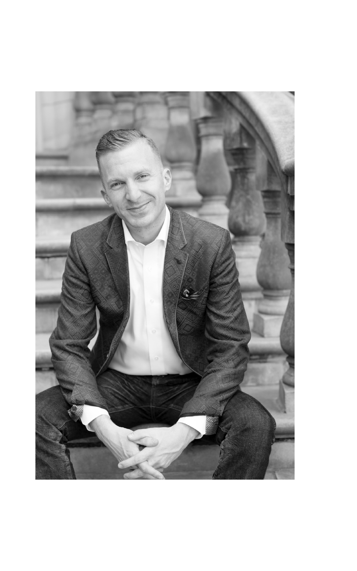